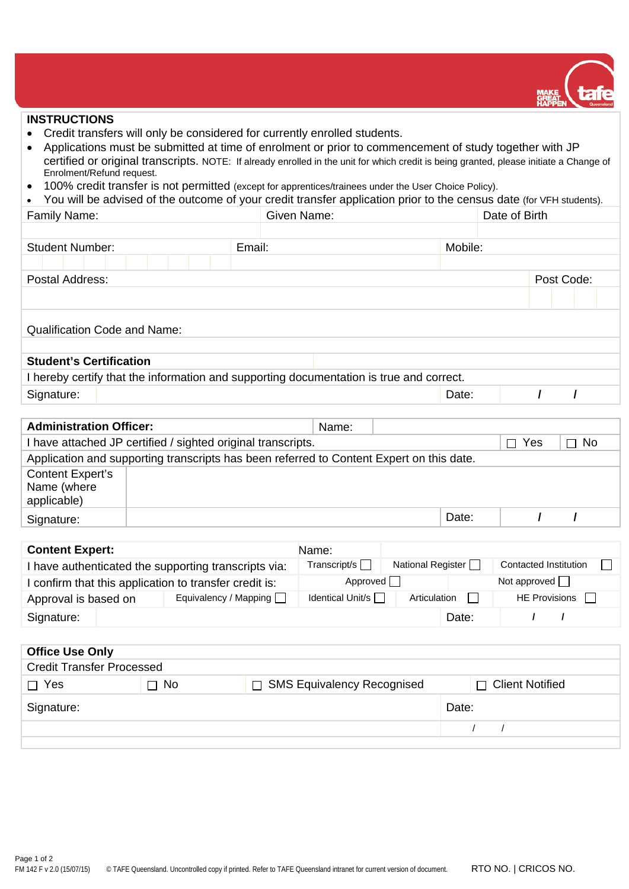

## **INSTRUCTIONS**

- Credit transfers will only be considered for currently enrolled students.
- Applications must be submitted at time of enrolment or prior to commencement of study together with JP certified or original transcripts. NOTE: If already enrolled in the unit for which credit is being granted, please initiate a Change of Enrolment/Refund request.
- 100% credit transfer is not permitted (except for apprentices/trainees under the User Choice Policy).

|  | • You will be advised of the outcome of your credit transfer application prior to the census date (for VFH students). |  |
|--|-----------------------------------------------------------------------------------------------------------------------|--|
|--|-----------------------------------------------------------------------------------------------------------------------|--|

| Family Name:                                                                            | Given Name: | Date of Birth |         |  |  |            |  |  |
|-----------------------------------------------------------------------------------------|-------------|---------------|---------|--|--|------------|--|--|
|                                                                                         |             |               |         |  |  |            |  |  |
| <b>Student Number:</b>                                                                  | Email:      |               | Mobile: |  |  |            |  |  |
|                                                                                         |             |               |         |  |  |            |  |  |
| Postal Address:                                                                         |             |               |         |  |  | Post Code: |  |  |
|                                                                                         |             |               |         |  |  |            |  |  |
|                                                                                         |             |               |         |  |  |            |  |  |
| Qualification Code and Name:                                                            |             |               |         |  |  |            |  |  |
|                                                                                         |             |               |         |  |  |            |  |  |
| <b>Student's Certification</b>                                                          |             |               |         |  |  |            |  |  |
| I hereby certify that the information and supporting documentation is true and correct. |             |               |         |  |  |            |  |  |
| Signature:                                                                              |             |               | Date:   |  |  |            |  |  |

| <b>Administration Officer:</b>                               |                                                                                          | Name: |  |       |  |  |  |  |
|--------------------------------------------------------------|------------------------------------------------------------------------------------------|-------|--|-------|--|--|--|--|
| I have attached JP certified / sighted original transcripts. | Yes<br>$\Box$                                                                            | ∏ No  |  |       |  |  |  |  |
|                                                              | Application and supporting transcripts has been referred to Content Expert on this date. |       |  |       |  |  |  |  |
| <b>Content Expert's</b><br>Name (where<br>applicable)        |                                                                                          |       |  |       |  |  |  |  |
| Signature:                                                   |                                                                                          |       |  | Date: |  |  |  |  |
|                                                              |                                                                                          |       |  |       |  |  |  |  |
| <b>Content Expert:</b>                                       |                                                                                          | Name: |  |       |  |  |  |  |

| I have authenticated the supporting transcripts via:   |                       | Transcript/s     | National Register          | Contacted Institution |  |  |
|--------------------------------------------------------|-----------------------|------------------|----------------------------|-----------------------|--|--|
| I confirm that this application to transfer credit is: | Approved              |                  | Not approved $\vert \vert$ |                       |  |  |
| Approval is based on                                   | Equivalency / Mapping | Identical Unit/s | Articulation               | HE Provisions         |  |  |
| Signature:                                             |                       |                  | Date:                      |                       |  |  |

|                                                            |  | <b>Office Use Only</b> |       |  |  |  |  |  |  |  |
|------------------------------------------------------------|--|------------------------|-------|--|--|--|--|--|--|--|
| <b>Credit Transfer Processed</b>                           |  |                        |       |  |  |  |  |  |  |  |
| □ SMS Equivalency Recognised<br>No<br>$\Box$ Yes<br>$\Box$ |  |                        |       |  |  |  |  |  |  |  |
| Signature:                                                 |  |                        |       |  |  |  |  |  |  |  |
|                                                            |  |                        |       |  |  |  |  |  |  |  |
|                                                            |  |                        | Date: |  |  |  |  |  |  |  |